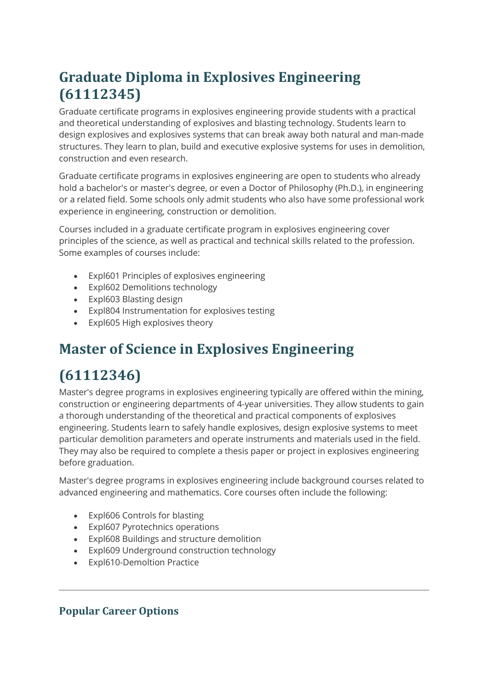## **Graduate Diploma in Explosives Engineering (61112345)**

Graduate certificate programs in explosives engineering provide students with a practical and theoretical understanding of explosives and blasting technology. Students learn to design explosives and explosives systems that can break away both natural and man-made structures. They learn to plan, build and executive explosive systems for uses in demolition, construction and even research.

Graduate certificate programs in explosives engineering are open to students who already hold a bachelor's or master's degree, or even a Doctor of Philosophy (Ph.D.), in engineering or a related field. Some schools only admit students who also have some professional work experience in engineering, construction or demolition.

Courses included in a graduate certificate program in explosives engineering cover principles of the science, as well as practical and technical skills related to the profession. Some examples of courses include:

- Expl601 Principles of explosives engineering
- Expl602 Demolitions technology
- Expl603 Blasting design
- Expl804 Instrumentation for explosives testing
- Expl605 High explosives theory

## **Master of Science in Explosives Engineering**

## **(61112346)**

Master's degree programs in explosives engineering typically are offered within the mining, construction or engineering departments of 4-year universities. They allow students to gain a thorough understanding of the theoretical and practical components of explosives engineering. Students learn to safely handle explosives, design explosive systems to meet particular demolition parameters and operate instruments and materials used in the field. They may also be required to complete a thesis paper or project in explosives engineering before graduation.

Master's degree programs in explosives engineering include background courses related to advanced engineering and mathematics. Core courses often include the following:

- Expl606 Controls for blasting
- Expl607 Pyrotechnics operations
- Expl608 Buildings and structure demolition
- Expl609 Underground construction technology
- Expl610-Demoltion Practice

## **Popular Career Options**